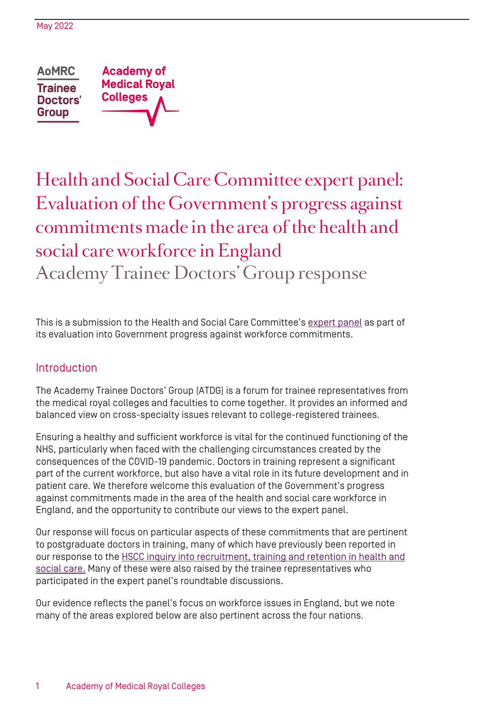**AoMRC Academy of Medical Roval Trainee Colleges** Doctors' **Group** 

# Health and Social Care Committee expert panel: Evaluation of the Government's progress against commitments made in the area of the health and social care workforce in England Academy Trainee Doctors' Group response

This is a submission to the Health and Social Care Committee's [expert panel](https://ukparliament.shorthandstories.com/health-and-social-care-committee-expert-panel/index.html) as part of its evaluation into Government progress against workforce commitments.

# Introduction

The Academy Trainee Doctors' Group (ATDG) is a forum for trainee representatives from the medical royal colleges and faculties to come together. It provides an informed and balanced view on cross-specialty issues relevant to college-registered trainees.

Ensuring a healthy and sufficient workforce is vital for the continued functioning of the NHS, particularly when faced with the challenging circumstances created by the consequences of the COVID-19 pandemic. Doctors in training represent a significant part of the current workforce, but also have a vital role in its future development and in patient care. We therefore welcome this evaluation of the Government's progress against commitments made in the area of the health and social care workforce in England, and the opportunity to contribute our views to the expert panel.

Our response will focus on particular aspects of these commitments that are pertinent to postgraduate doctors in training, many of which have previously been reported in our response to the HSCC inquiry into recruitment, training and retention in health and [social care.](https://www.aomrc.org.uk/wp-content/uploads/2022/01/ATDG_HSC_inquiry_response_0122.pdf) Many of these were also raised by the trainee representatives who participated in the expert panel's roundtable discussions.

Our evidence reflects the panel's focus on workforce issues in England, but we note many of the areas explored below are also pertinent across the four nations.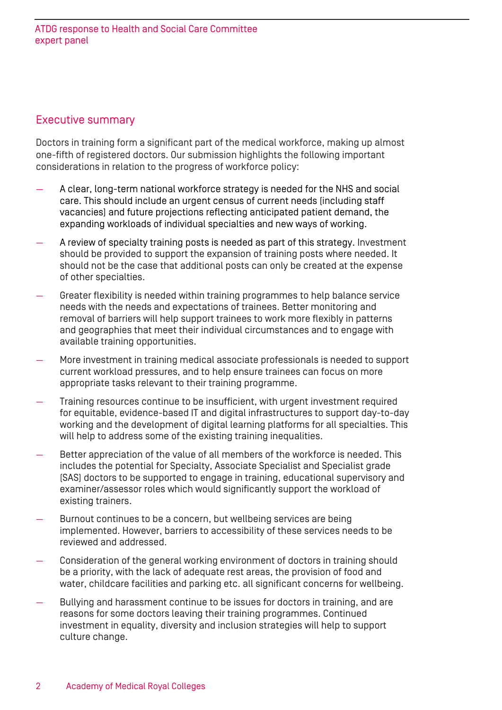## Executive summary

Doctors in training form a significant part of the medical workforce, making up almost one-fifth of registered doctors. Our submission highlights the following important considerations in relation to the progress of workforce policy:

- A clear, long-term national workforce strategy is needed for the NHS and social care. This should include an urgent census of current needs (including staff vacancies) and future projections reflecting anticipated patient demand, the expanding workloads of individual specialties and new ways of working.
- A review of specialty training posts is needed as part of this strategy. Investment should be provided to support the expansion of training posts where needed. It should not be the case that additional posts can only be created at the expense of other specialties.
- Greater flexibility is needed within training programmes to help balance service needs with the needs and expectations of trainees. Better monitoring and removal of barriers will help support trainees to work more flexibly in patterns and geographies that meet their individual circumstances and to engage with available training opportunities.
- More investment in training medical associate professionals is needed to support current workload pressures, and to help ensure trainees can focus on more appropriate tasks relevant to their training programme.
- Training resources continue to be insufficient, with urgent investment required for equitable, evidence-based IT and digital infrastructures to support day-to-day working and the development of digital learning platforms for all specialties. This will help to address some of the existing training inequalities.
- Better appreciation of the value of all members of the workforce is needed. This includes the potential for Specialty, Associate Specialist and Specialist grade (SAS) doctors to be supported to engage in training, educational supervisory and examiner/assessor roles which would significantly support the workload of existing trainers.
- Burnout continues to be a concern, but wellbeing services are being implemented. However, barriers to accessibility of these services needs to be reviewed and addressed.
- Consideration of the general working environment of doctors in training should be a priority, with the lack of adequate rest areas, the provision of food and water, childcare facilities and parking etc. all significant concerns for wellbeing.
- Bullying and harassment continue to be issues for doctors in training, and are reasons for some doctors leaving their training programmes. Continued investment in equality, diversity and inclusion strategies will help to support culture change.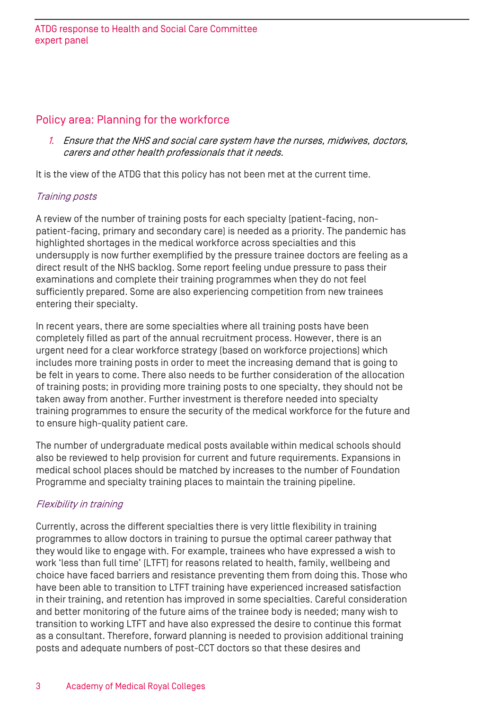# Policy area: Planning for the workforce

1. Ensure that the NHS and social care system have the nurses, midwives, doctors, carers and other health professionals that it needs.

It is the view of the ATDG that this policy has not been met at the current time.

## Training posts

A review of the number of training posts for each specialty (patient-facing, nonpatient-facing, primary and secondary care) is needed as a priority. The pandemic has highlighted shortages in the medical workforce across specialties and this undersupply is now further exemplified by the pressure trainee doctors are feeling as a direct result of the NHS backlog. Some report feeling undue pressure to pass their examinations and complete their training programmes when they do not feel sufficiently prepared. Some are also experiencing competition from new trainees entering their specialty.

In recent years, there are some specialties where all training posts have been completely filled as part of the annual recruitment process. However, there is an urgent need for a clear workforce strategy (based on workforce projections) which includes more training posts in order to meet the increasing demand that is going to be felt in years to come. There also needs to be further consideration of the allocation of training posts; in providing more training posts to one specialty, they should not be taken away from another. Further investment is therefore needed into specialty training programmes to ensure the security of the medical workforce for the future and to ensure high-quality patient care.

The number of undergraduate medical posts available within medical schools should also be reviewed to help provision for current and future requirements. Expansions in medical school places should be matched by increases to the number of Foundation Programme and specialty training places to maintain the training pipeline.

# Flexibility in training

Currently, across the different specialties there is very little flexibility in training programmes to allow doctors in training to pursue the optimal career pathway that they would like to engage with. For example, trainees who have expressed a wish to work 'less than full time' (LTFT) for reasons related to health, family, wellbeing and choice have faced barriers and resistance preventing them from doing this. Those who have been able to transition to LTFT training have experienced increased satisfaction in their training, and retention has improved in some specialties. Careful consideration and better monitoring of the future aims of the trainee body is needed; many wish to transition to working LTFT and have also expressed the desire to continue this format as a consultant. Therefore, forward planning is needed to provision additional training posts and adequate numbers of post-CCT doctors so that these desires and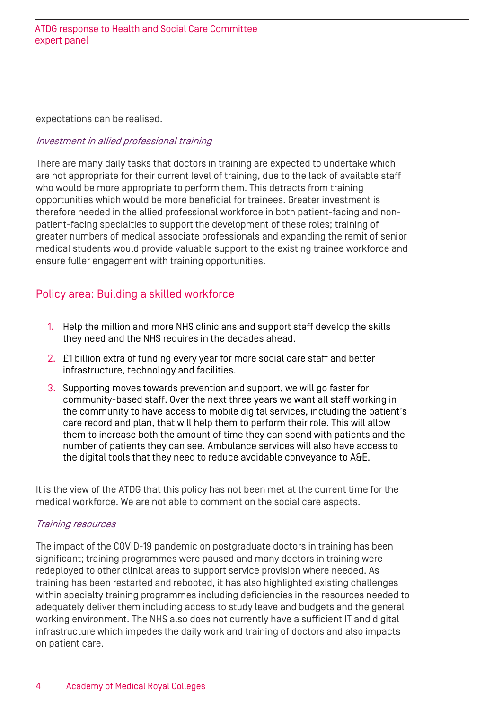expectations can be realised.

#### Investment in allied professional training

There are many daily tasks that doctors in training are expected to undertake which are not appropriate for their current level of training, due to the lack of available staff who would be more appropriate to perform them. This detracts from training opportunities which would be more beneficial for trainees. Greater investment is therefore needed in the allied professional workforce in both patient-facing and nonpatient-facing specialties to support the development of these roles; training of greater numbers of medical associate professionals and expanding the remit of senior medical students would provide valuable support to the existing trainee workforce and ensure fuller engagement with training opportunities.

# Policy area: Building a skilled workforce

- 1. Help the million and more NHS clinicians and support staff develop the skills they need and the NHS requires in the decades ahead.
- 2. £1 billion extra of funding every year for more social care staff and better infrastructure, technology and facilities.
- 3. Supporting moves towards prevention and support, we will go faster for community-based staff. Over the next three years we want all staff working in the community to have access to mobile digital services, including the patient's care record and plan, that will help them to perform their role. This will allow them to increase both the amount of time they can spend with patients and the number of patients they can see. Ambulance services will also have access to the digital tools that they need to reduce avoidable conveyance to A&E.

It is the view of the ATDG that this policy has not been met at the current time for the medical workforce. We are not able to comment on the social care aspects.

#### Training resources

The impact of the COVID-19 pandemic on postgraduate doctors in training has been significant; training programmes were paused and many doctors in training were redeployed to other clinical areas to support service provision where needed. As training has been restarted and rebooted, it has also highlighted existing challenges within specialty training programmes including deficiencies in the resources needed to adequately deliver them including access to study leave and budgets and the general working environment. The NHS also does not currently have a sufficient IT and digital infrastructure which impedes the daily work and training of doctors and also impacts on patient care.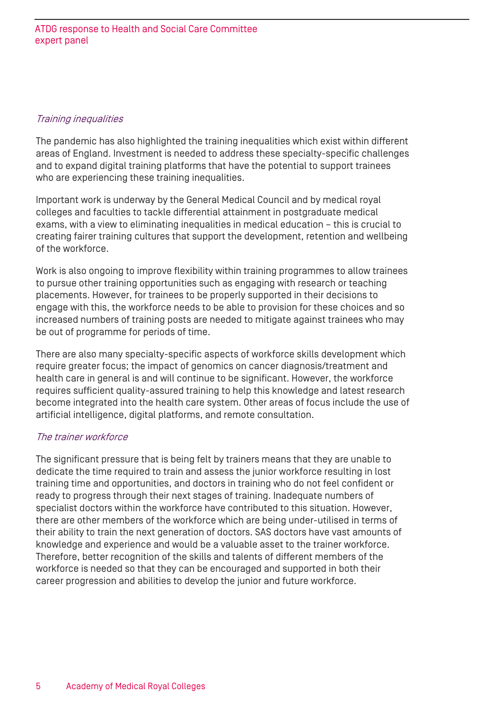#### Training inequalities

The pandemic has also highlighted the training inequalities which exist within different areas of England. Investment is needed to address these specialty-specific challenges and to expand digital training platforms that have the potential to support trainees who are experiencing these training inequalities.

Important work is underway by the General Medical Council and by medical royal colleges and faculties to tackle differential attainment in postgraduate medical exams, with a view to eliminating inequalities in medical education – this is crucial to creating fairer training cultures that support the development, retention and wellbeing of the workforce.

Work is also ongoing to improve flexibility within training programmes to allow trainees to pursue other training opportunities such as engaging with research or teaching placements. However, for trainees to be properly supported in their decisions to engage with this, the workforce needs to be able to provision for these choices and so increased numbers of training posts are needed to mitigate against trainees who may be out of programme for periods of time.

There are also many specialty-specific aspects of workforce skills development which require greater focus; the impact of genomics on cancer diagnosis/treatment and health care in general is and will continue to be significant. However, the workforce requires sufficient quality-assured training to help this knowledge and latest research become integrated into the health care system. Other areas of focus include the use of artificial intelligence, digital platforms, and remote consultation.

## The trainer workforce

The significant pressure that is being felt by trainers means that they are unable to dedicate the time required to train and assess the junior workforce resulting in lost training time and opportunities, and doctors in training who do not feel confident or ready to progress through their next stages of training. Inadequate numbers of specialist doctors within the workforce have contributed to this situation. However, there are other members of the workforce which are being under-utilised in terms of their ability to train the next generation of doctors. SAS doctors have vast amounts of knowledge and experience and would be a valuable asset to the trainer workforce. Therefore, better recognition of the skills and talents of different members of the workforce is needed so that they can be encouraged and supported in both their career progression and abilities to develop the junior and future workforce.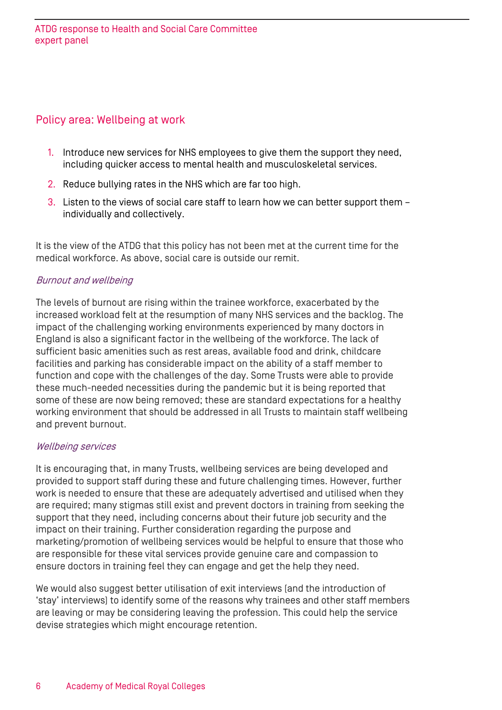# Policy area: Wellbeing at work

- 1. Introduce new services for NHS employees to give them the support they need, including quicker access to mental health and musculoskeletal services.
- 2. Reduce bullying rates in the NHS which are far too high.
- 3. Listen to the views of social care staff to learn how we can better support them individually and collectively.

It is the view of the ATDG that this policy has not been met at the current time for the medical workforce. As above, social care is outside our remit.

## Burnout and wellbeing

The levels of burnout are rising within the trainee workforce, exacerbated by the increased workload felt at the resumption of many NHS services and the backlog. The impact of the challenging working environments experienced by many doctors in England is also a significant factor in the wellbeing of the workforce. The lack of sufficient basic amenities such as rest areas, available food and drink, childcare facilities and parking has considerable impact on the ability of a staff member to function and cope with the challenges of the day. Some Trusts were able to provide these much-needed necessities during the pandemic but it is being reported that some of these are now being removed; these are standard expectations for a healthy working environment that should be addressed in all Trusts to maintain staff wellbeing and prevent burnout.

#### Wellbeing services

It is encouraging that, in many Trusts, wellbeing services are being developed and provided to support staff during these and future challenging times. However, further work is needed to ensure that these are adequately advertised and utilised when they are required; many stigmas still exist and prevent doctors in training from seeking the support that they need, including concerns about their future job security and the impact on their training. Further consideration regarding the purpose and marketing/promotion of wellbeing services would be helpful to ensure that those who are responsible for these vital services provide genuine care and compassion to ensure doctors in training feel they can engage and get the help they need.

We would also suggest better utilisation of exit interviews (and the introduction of 'stay' interviews) to identify some of the reasons why trainees and other staff members are leaving or may be considering leaving the profession. This could help the service devise strategies which might encourage retention.